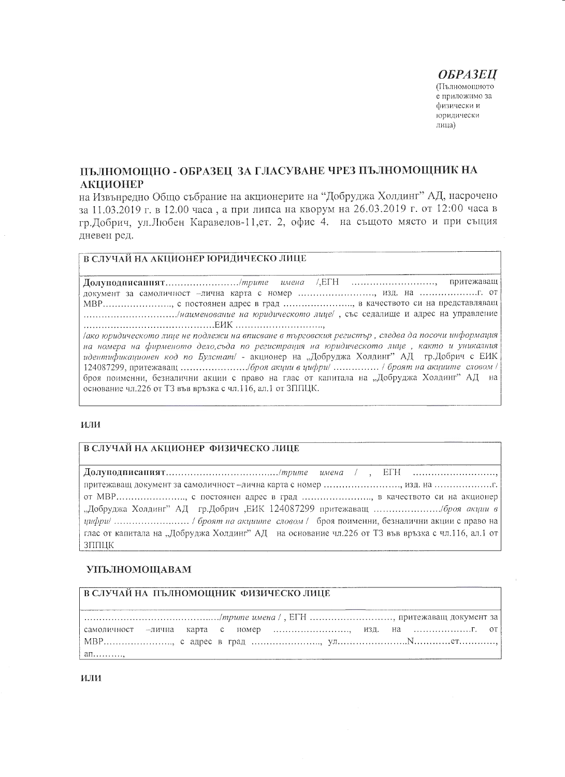## **ОБРАЗЕЦ**

**(Пълномощното** е приложимо за физически и юридически лица)

# ПЪЛНОМОЩНО - ОБРАЗЕЦ ЗА ГЛАСУВАНЕ ЧРЕЗ ПЪЛНОМОЩНИК НА **АКЦИОНЕР**

на Извънредно Общо събрание на акционерите на "Добруджа Холдинг" АД, насрочено за 11.03.2019 г. в 12.00 часа, а при липса на кворум на 26.03.2019 г. от 12:00 часа в гр.Добрич, ул.Любен Каравелов-11,ет. 2, офис 4. на същото място и при същия лневен ред.

### В СЛУЧАЙ НА АКЦИОНЕР ЮРИДИЧЕСКО ЛИЦЕ

притежаващ Долуподписаннят.........................../трите имена документ за самоличност -лична карта с номер ........................., изд. на .............................. МВР......................., с постоянен адрес в град ......................., в качеството си на представляващ .................................../наименование на юридическото лице/, със седалище и адрес на управление 

ако юридическото лице не подлежи на вписване в търговския регистър , следва да посочи информация на номера на фирменото дело, съда по регистрация на юридическото лице, както и уникалния броя поименни, безналични акции с право на глас от капитала на "Добруджа Холдинг" АД на основание чл.226 от ТЗ във връзка с чл.116, ал.1 от ЗППЦК.

#### или

#### В СЛУЧАЙ НА АКЦИОНЕР ФИЗИЧЕСКО ЛИЦЕ

от МВР......................., с постоянен адрес в град ........................, в качеството си на акционер глас от капитала на "Добруджа Холдинг" АД на основание чл.226 от ТЗ във връзка с чл.116, ал.1 от ЗППЦК

#### **УПЪЛНОМОЩАВАМ**

## В СЛУЧАЙ НА ПЪЛНОМОЩНИК ФИЗИЧЕСКО ЛИЦЕ

| $a_{\Pi}$ , |  |  |  |  |  |
|-------------|--|--|--|--|--|

или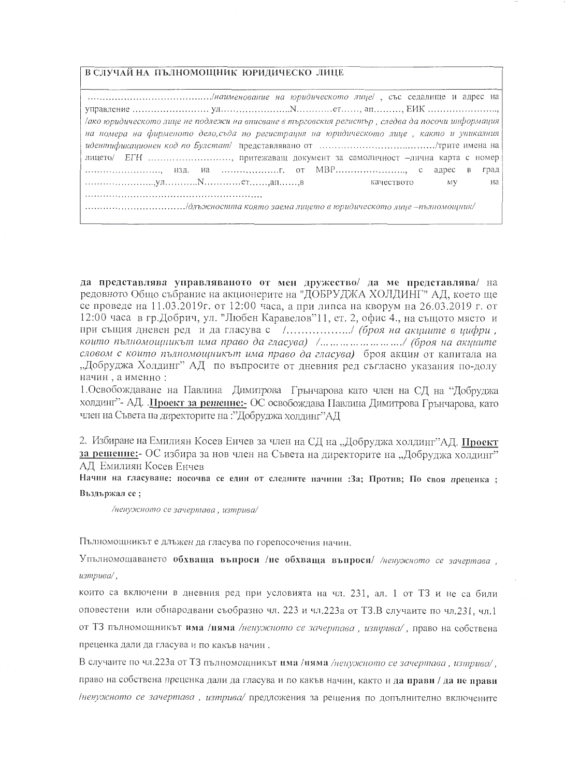В СЛУЧАЙ НА ПЪЛНОМОЩНИК ЮРИДИЧЕСКО ЛИЦЕ

| ако юридическото лице не подлежи на вписване в търговския регистър, следва да посочи информация |
|-------------------------------------------------------------------------------------------------|
| на номера на фирменото дело, съда по регистрация на юридическото лице, както и уникалния        |
|                                                                                                 |
| лицето/ ЕГН , притежаващ документ за самоличност -лична карта с номер                           |
| , изд. на  от MBP с адрес в град                                                                |
|                                                                                                 |
|                                                                                                 |
|                                                                                                 |

да представлява управляваното от мен дружество/ да ме представлява/ на редовното Общо събрание на акционерите на "ДОБРУДЖА ХОЛДИНГ" АД, което ще се проведе на 11.03.2019г. от 12:00 часа, а при липса на кворум на 26.03.2019 г. от 12:00 часа в гр.Добрич, ул. "Любен Каравелов"11, ет. 2, офис 4., на същото място и при същия дневен ред и да гласува с /................../ (броя на акциите в цифри, които пълномощникът има право да гласува) /........................../ (броя на акциите словом с които пълномощникът има право да гласува) броя акции от капитала на "Добруджа Холдинг" АД по въпросите от дневния ред съгласно указания по-долу начин, а именно:

1. Освобождаване на Павлина Димитрова Грънчарова като член на СД на "Добруджа холдинг"- АД. . Проект за решение:- ОС освобождава Павлина Димитрова Грънчарова, като член на Съвета на директорите на :"Добруджа холдинг"АД

2. Избиране на Емилиян Косев Енчев за член на СД на "Добруджа холдинг"АД. Проект за решение:- ОС избира за нов член на Съвета на директорите на "Добруджа холдинг" АЛ Емилиян Косев Енчев

Начин на гласуване: посочва се един от следните начини : За; Против; По своя преценка ; Въздържал се;

/ненужното се зачертава, изтрива/

Пълномощникът е длъжен да гласува по горепосочения начин.

Упълномощаването обхваща въпроси /не обхваща въпроси/ /ненужното се зачертава. изтрива/.

които са включени в дневния ред при условията на чл. 231, ал. 1 от ТЗ и не са били оповестени или обнародвани съобразно чл. 223 и чл.223а от ТЗ.В случаите по чл.231, чл.1 от ТЗ пълномощникът има /ияма /ненужното се зачертава, изтрива/, право на собствена преценка дали да гласува и по какъв начин.

В случаите по чл.223а от ТЗ пълномощникът има /ияма /ненужното се зачертава, изтрива/, право на собствена преценка дали да гласува и по какъв начин, както и да прави / да не прави /ненужното се зачертава, изтрива/предложения за решения по допълнително включените